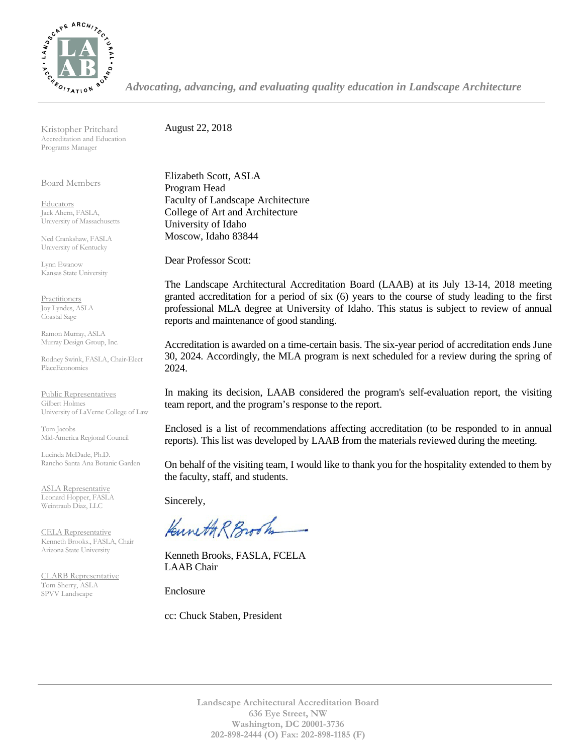

*Advocating, advancing, and evaluating quality education in Landscape Architecture*

Kristopher Pritchard Accreditation and Education Programs Manager

Board Members

**Educators** Jack Ahern, FASLA, University of Massachusetts

Ned Crankshaw, FASLA University of Kentucky

Lynn Ewanow Kansas State University

**Practitioners** Joy Lyndes, ASLA Coastal Sage

Ramon Murray, ASLA Murray Design Group, Inc.

Rodney Swink, FASLA, Chair-Elect PlaceEconomics

Public Representatives Gilbert Holmes University of LaVerne College of Law

Tom Jacobs Mid-America Regional Council

Lucinda McDade, Ph.D. Rancho Santa Ana Botanic Garden

ASLA Representative Leonard Hopper, FASLA Weintraub Diaz, LLC

CELA Representative Kenneth Brooks., FASLA, Chair Arizona State University

CLARB Representative Tom Sherry, ASLA SPVV Landscape

August 22, 2018

Elizabeth Scott, ASLA Program Head Faculty of Landscape Architecture College of Art and Architecture University of Idaho Moscow, Idaho 83844

Dear Professor Scott:

The Landscape Architectural Accreditation Board (LAAB) at its July 13-14, 2018 meeting granted accreditation for a period of six (6) years to the course of study leading to the first professional MLA degree at University of Idaho. This status is subject to review of annual reports and maintenance of good standing.

Accreditation is awarded on a time-certain basis. The six-year period of accreditation ends June 30, 2024. Accordingly, the MLA program is next scheduled for a review during the spring of 2024.

In making its decision, LAAB considered the program's self-evaluation report, the visiting team report, and the program's response to the report.

Enclosed is a list of recommendations affecting accreditation (to be responded to in annual reports). This list was developed by LAAB from the materials reviewed during the meeting.

On behalf of the visiting team, I would like to thank you for the hospitality extended to them by the faculty, staff, and students.

Sincerely,

Kuneth R Brook

Kenneth Brooks, FASLA, FCELA LAAB Chair

Enclosure

cc: Chuck Staben, President